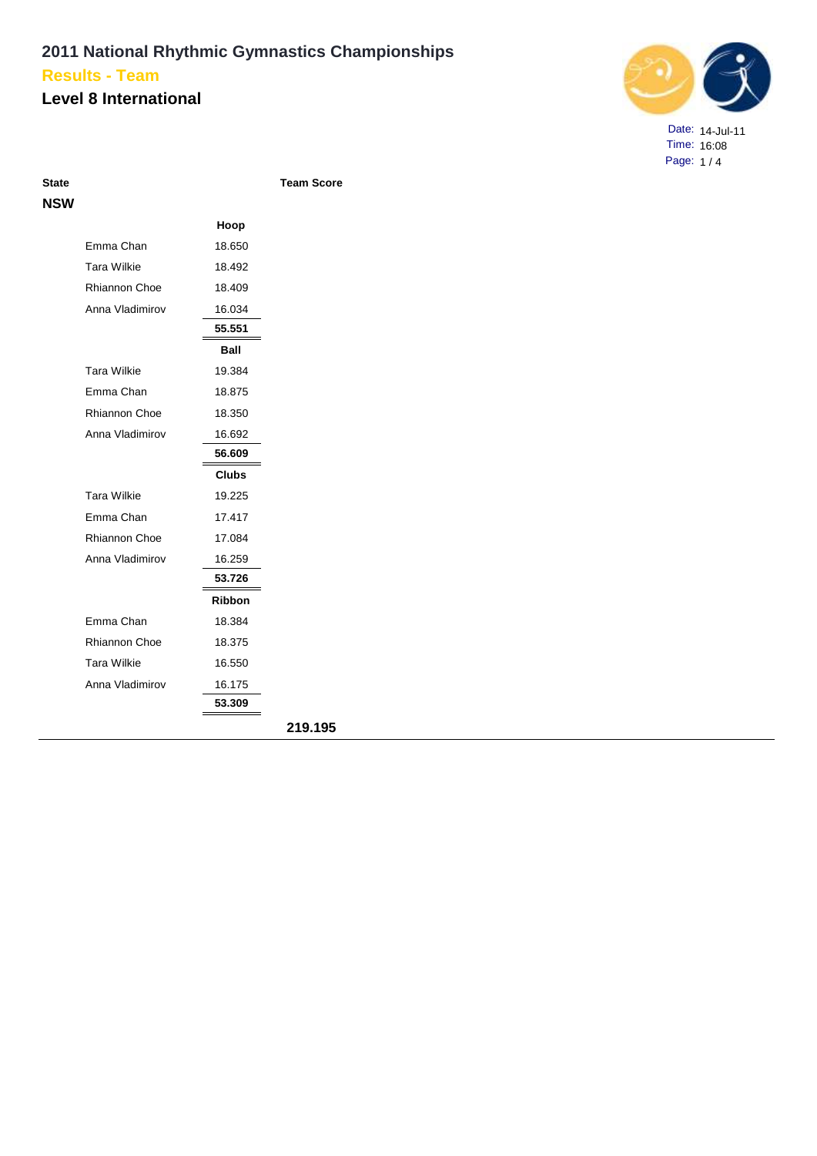### **Level 8 International**



Date: 14-Jul-11 Time: 16:08 Page: 1 / 4

| <b>State</b> |                      |               | <b>Team Score</b> |
|--------------|----------------------|---------------|-------------------|
| <b>NSW</b>   |                      |               |                   |
|              |                      | Hoop          |                   |
|              | Emma Chan            | 18.650        |                   |
|              | <b>Tara Wilkie</b>   | 18.492        |                   |
|              | <b>Rhiannon Choe</b> | 18.409        |                   |
|              | Anna Vladimirov      | 16.034        |                   |
|              |                      | 55.551        |                   |
|              |                      | <b>Ball</b>   |                   |
|              | <b>Tara Wilkie</b>   | 19.384        |                   |
|              | Emma Chan            | 18.875        |                   |
|              | Rhiannon Choe        | 18.350        |                   |
|              | Anna Vladimirov      | 16.692        |                   |
|              |                      | 56.609        |                   |
|              |                      | <b>Clubs</b>  |                   |
|              | <b>Tara Wilkie</b>   | 19.225        |                   |
|              | Emma Chan            | 17.417        |                   |
|              | <b>Rhiannon Choe</b> | 17.084        |                   |
|              | Anna Vladimirov      | 16.259        |                   |
|              |                      | 53.726        |                   |
|              |                      | <b>Ribbon</b> |                   |
|              | Emma Chan            | 18.384        |                   |
|              | <b>Rhiannon Choe</b> | 18.375        |                   |
|              | <b>Tara Wilkie</b>   | 16.550        |                   |
|              | Anna Vladimirov      | 16.175        |                   |
|              |                      | 53.309        |                   |
|              |                      |               | 219.195           |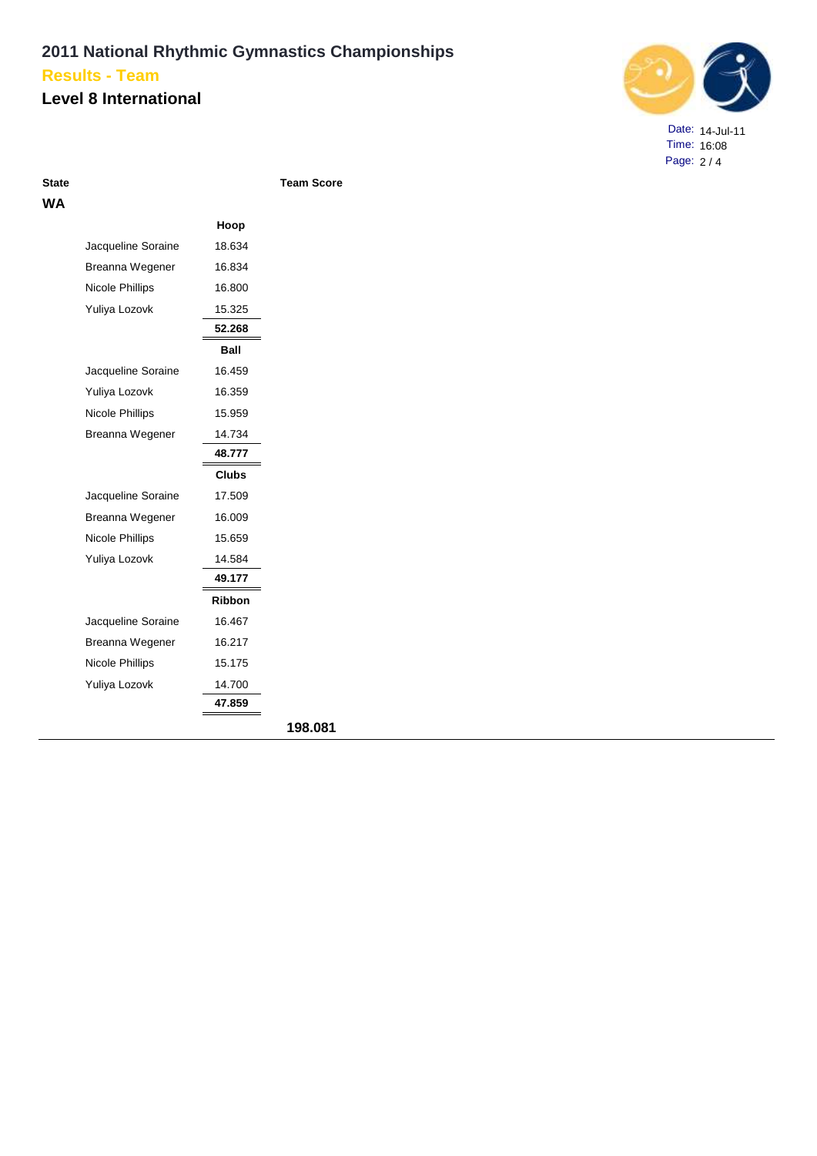### **Level 8 International**



Date: 14-Jul-11 Time: 16:08 Page: 2 / 4

| State |  |
|-------|--|
| WА    |  |

**State Team Score**

| Hoop<br>Jacqueline Soraine<br>18.634<br>Breanna Wegener<br>16.834<br>Nicole Phillips<br>16.800<br>Yuliya Lozovk<br>15.325<br>52.268<br>Ball<br>16.459<br>Jacqueline Soraine<br>Yuliya Lozovk<br>16.359<br>Nicole Phillips<br>15.959<br>Breanna Wegener<br>14.734<br>48.777<br><b>Clubs</b><br>Jacqueline Soraine<br>17.509<br>Breanna Wegener<br>16.009<br><b>Nicole Phillips</b><br>15.659<br>Yuliya Lozovk<br>14.584<br>49.177<br><b>Ribbon</b><br>Jacqueline Soraine<br>16.467<br>16.217<br>Breanna Wegener<br>15.175<br><b>Nicole Phillips</b><br>Yuliya Lozovk<br>14.700<br>47.859 |  |
|-----------------------------------------------------------------------------------------------------------------------------------------------------------------------------------------------------------------------------------------------------------------------------------------------------------------------------------------------------------------------------------------------------------------------------------------------------------------------------------------------------------------------------------------------------------------------------------------|--|
|                                                                                                                                                                                                                                                                                                                                                                                                                                                                                                                                                                                         |  |
|                                                                                                                                                                                                                                                                                                                                                                                                                                                                                                                                                                                         |  |
|                                                                                                                                                                                                                                                                                                                                                                                                                                                                                                                                                                                         |  |
|                                                                                                                                                                                                                                                                                                                                                                                                                                                                                                                                                                                         |  |
|                                                                                                                                                                                                                                                                                                                                                                                                                                                                                                                                                                                         |  |
|                                                                                                                                                                                                                                                                                                                                                                                                                                                                                                                                                                                         |  |
|                                                                                                                                                                                                                                                                                                                                                                                                                                                                                                                                                                                         |  |
|                                                                                                                                                                                                                                                                                                                                                                                                                                                                                                                                                                                         |  |
|                                                                                                                                                                                                                                                                                                                                                                                                                                                                                                                                                                                         |  |
|                                                                                                                                                                                                                                                                                                                                                                                                                                                                                                                                                                                         |  |
|                                                                                                                                                                                                                                                                                                                                                                                                                                                                                                                                                                                         |  |
|                                                                                                                                                                                                                                                                                                                                                                                                                                                                                                                                                                                         |  |
|                                                                                                                                                                                                                                                                                                                                                                                                                                                                                                                                                                                         |  |
|                                                                                                                                                                                                                                                                                                                                                                                                                                                                                                                                                                                         |  |
|                                                                                                                                                                                                                                                                                                                                                                                                                                                                                                                                                                                         |  |
|                                                                                                                                                                                                                                                                                                                                                                                                                                                                                                                                                                                         |  |
|                                                                                                                                                                                                                                                                                                                                                                                                                                                                                                                                                                                         |  |
|                                                                                                                                                                                                                                                                                                                                                                                                                                                                                                                                                                                         |  |
|                                                                                                                                                                                                                                                                                                                                                                                                                                                                                                                                                                                         |  |
|                                                                                                                                                                                                                                                                                                                                                                                                                                                                                                                                                                                         |  |
|                                                                                                                                                                                                                                                                                                                                                                                                                                                                                                                                                                                         |  |
|                                                                                                                                                                                                                                                                                                                                                                                                                                                                                                                                                                                         |  |
|                                                                                                                                                                                                                                                                                                                                                                                                                                                                                                                                                                                         |  |
|                                                                                                                                                                                                                                                                                                                                                                                                                                                                                                                                                                                         |  |
|                                                                                                                                                                                                                                                                                                                                                                                                                                                                                                                                                                                         |  |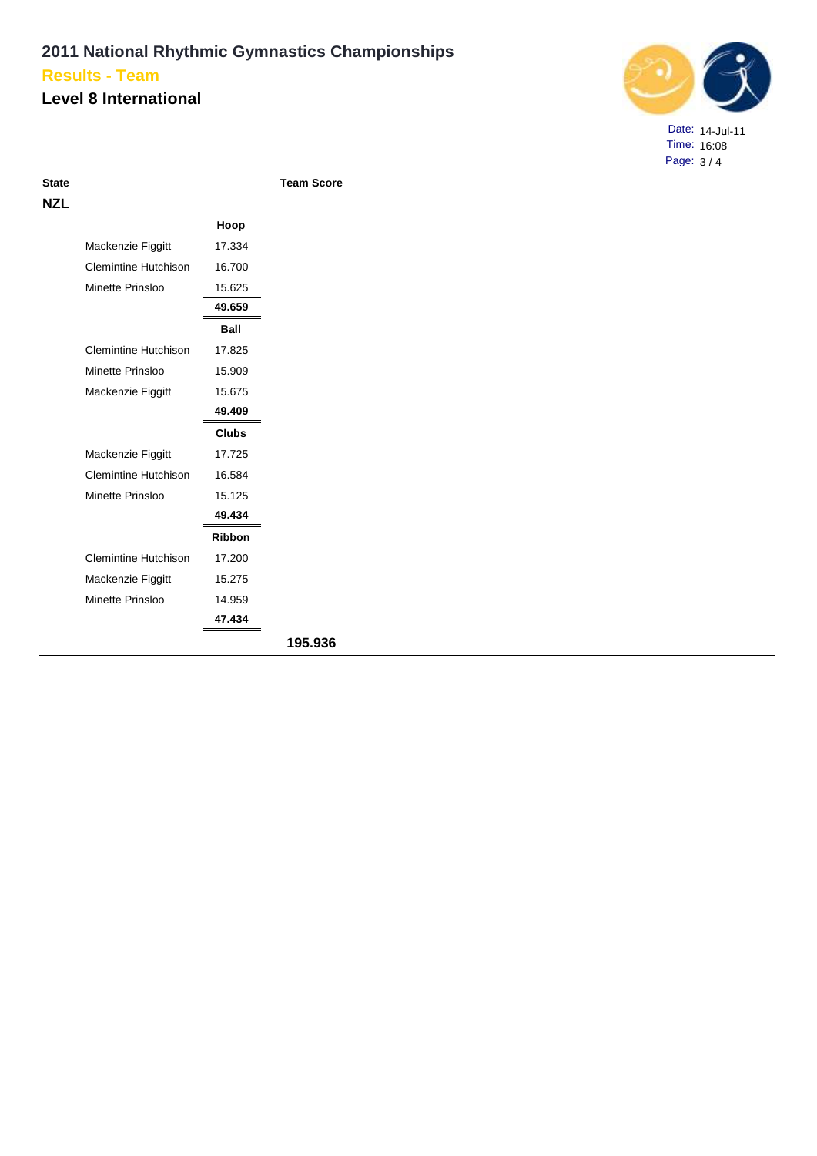#### **Level 8 International**



Date: 14-Jul-11 Time: 16:08 Page: 3 / 4

| ۰,<br>tate |  |
|------------|--|
|            |  |

**State Team Score**

|                             | Hoop          |         |
|-----------------------------|---------------|---------|
| Mackenzie Figgitt           | 17.334        |         |
| <b>Clemintine Hutchison</b> | 16.700        |         |
| Minette Prinsloo            | 15.625        |         |
|                             | 49.659        |         |
|                             | <b>Ball</b>   |         |
| <b>Clemintine Hutchison</b> | 17.825        |         |
| Minette Prinsloo            | 15.909        |         |
| Mackenzie Figgitt           | 15.675        |         |
|                             | 49.409        |         |
|                             | <b>Clubs</b>  |         |
| Mackenzie Figgitt           | 17.725        |         |
| Clemintine Hutchison        | 16.584        |         |
| Minette Prinsloo            | 15.125        |         |
|                             | 49.434        |         |
|                             | <b>Ribbon</b> |         |
| <b>Clemintine Hutchison</b> | 17.200        |         |
| Mackenzie Figgitt           | 15.275        |         |
| Minette Prinsloo            | 14.959        |         |
|                             | 47.434        |         |
|                             |               | 195.936 |
|                             |               |         |